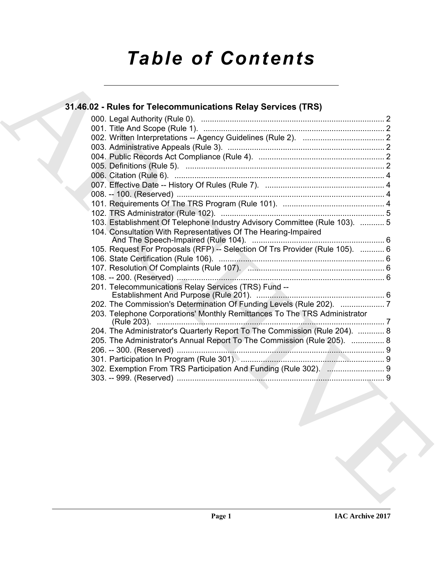# *Table of Contents*

| 103. Establishment Of Telephone Industry Advisory Committee (Rule 103).  5   |  |
|------------------------------------------------------------------------------|--|
| 104. Consultation With Representatives Of The Hearing-Impaired               |  |
| 105. Request For Proposals (RFP) -- Selection Of Trs Provider (Rule 105).  6 |  |
|                                                                              |  |
|                                                                              |  |
|                                                                              |  |
| 201. Telecommunications Relay Services (TRS) Fund --                         |  |
|                                                                              |  |
| 203. Telephone Corporations' Monthly Remittances To The TRS Administrator    |  |
| 204. The Administrator's Quarterly Report To The Commission (Rule 204).  8   |  |
| 205. The Administrator's Annual Report To The Commission (Rule 205).  8      |  |
|                                                                              |  |
|                                                                              |  |
| 302. Exemption From TRS Participation And Funding (Rule 302).  9             |  |
|                                                                              |  |
|                                                                              |  |
|                                                                              |  |
|                                                                              |  |
|                                                                              |  |
|                                                                              |  |
|                                                                              |  |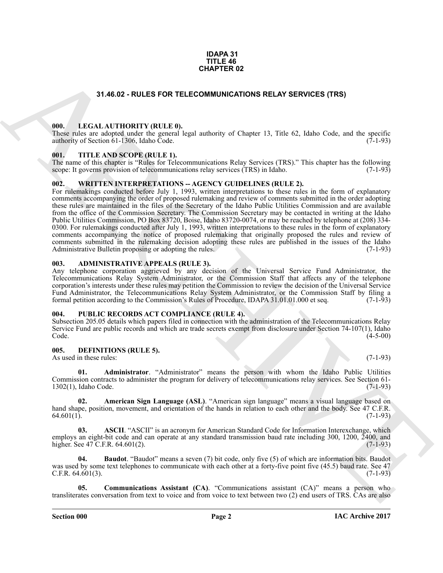#### **IDAPA 31 TITLE 46 CHAPTER 02**

## **31.46.02 - RULES FOR TELECOMMUNICATIONS RELAY SERVICES (TRS)**

#### <span id="page-1-1"></span><span id="page-1-0"></span>**000. LEGAL AUTHORITY (RULE 0).**

These rules are adopted under the general legal authority of Chapter 13, Title 62, Idaho Code, and the specific authority of Section 61-1306, Idaho Code. (7-1-93)

#### <span id="page-1-2"></span>**001. TITLE AND SCOPE (RULE 1).**

The name of this chapter is "Rules for Telecommunications Relay Services (TRS)." This chapter has the following scope: It governs provision of telecommunications relay services (TRS) in Idaho. (7-1-93)

#### <span id="page-1-3"></span>**002. WRITTEN INTERPRETATIONS -- AGENCY GUIDELINES (RULE 2).**

**31.46.62 CHULES FOR TELECOMMUNICATIONS RELAY SERVICES (TRS)**<br> **CHULES FOR TELECOMMUNICATIONS RELAY SERVICES (TRS)**<br> **CHULES FOR TELECOMMUNICATIONS RELAY SERVICES (TRS)**<br> **CHULES FOR TELECOMMUNICATIONS RELAY SERVICES (T** For rulemakings conducted before July 1, 1993, written interpretations to these rules in the form of explanatory comments accompanying the order of proposed rulemaking and review of comments submitted in the order adopting these rules are maintained in the files of the Secretary of the Idaho Public Utilities Commission and are available from the office of the Commission Secretary. The Commission Secretary may be contacted in writing at the Idaho Public Utilities Commission, PO Box 83720, Boise, Idaho 83720-0074, or may be reached by telephone at (208) 334- 0300. For rulemakings conducted after July 1, 1993, written interpretations to these rules in the form of explanatory comments accompanying the notice of proposed rulemaking that originally proposed the rules and review of comments submitted in the rulemaking decision adopting these rules are published in the issues of the Idaho Administrative Bulletin proposing or adopting the rules. (7-1-93) Administrative Bulletin proposing or adopting the rules.

#### <span id="page-1-4"></span>**003. ADMINISTRATIVE APPEALS (RULE 3).**

Any telephone corporation aggrieved by any decision of the Universal Service Fund Administrator, the Telecommunications Relay System Administrator, or the Commission Staff that affects any of the telephone corporation's interests under these rules may petition the Commission to review the decision of the Universal Service Fund Administrator, the Telecommunications Relay System Administrator, or the Commission Staff by filing a formal petition according to the Commission's Rules of Procedure, IDAPA 31.01.01.000 et seq. (7-1-93)

#### <span id="page-1-5"></span>**004. PUBLIC RECORDS ACT COMPLIANCE (RULE 4).**

Subsection 205.05 details which papers filed in connection with the administration of the Telecommunications Relay Service Fund are public records and which are trade secrets exempt from disclosure under Section 74-107(1), Idaho Code. (4-5-00)  $\text{Code.} \tag{4-5-00}$ 

#### <span id="page-1-7"></span><span id="page-1-6"></span>**005. DEFINITIONS (RULE 5).**

As used in these rules: (7-1-93)

<span id="page-1-8"></span>**01. Administrator**. "Administrator" means the person with whom the Idaho Public Utilities Commission contracts to administer the program for delivery of telecommunications relay services. See Section 61-  $1302(1)$ , Idaho Code.

<span id="page-1-9"></span>**02. American Sign Language (ASL)**. "American sign language" means a visual language based on hand shape, position, movement, and orientation of the hands in relation to each other and the body. See 47 C.F.R.  $(7-1-93)$  $64.601(1).$  (7-1-93)

<span id="page-1-10"></span>**03. ASCII**. "ASCII" is an acronym for American Standard Code for Information Interexchange, which employs an eight-bit code and can operate at any standard transmission baud rate including 300, 1200,  $\overline{2400}$ , and higher. See 47 C.F.R. 64.601(2). higher. See  $47$  C.F.R.  $64.601(2)$ .

<span id="page-1-11"></span>**04. Baudot**. "Baudot" means a seven (7) bit code, only five (5) of which are information bits. Baudot was used by some text telephones to communicate with each other at a forty-five point five (45.5) baud rate. See 47<br>C.F.R. 64.601(3). (7-1-93)  $C.F.R. 64.601(3).$ 

<span id="page-1-12"></span>**Communications Assistant (CA)**. "Communications assistant (CA)" means a person who transliterates conversation from text to voice and from voice to text between two (2) end users of TRS. CAs are also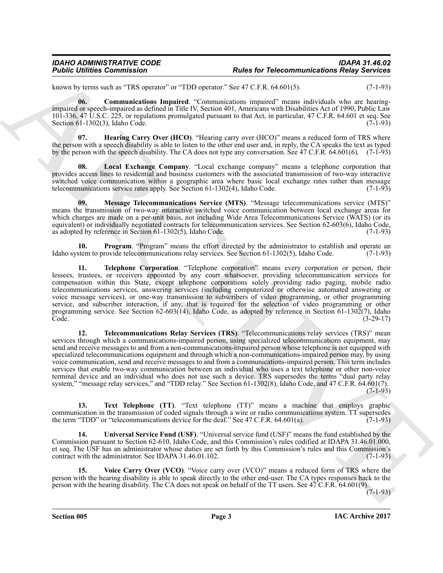known by terms such as "TRS operator" or "TDD operator." See 47 C.F.R. 64.601(5). (7-1-93)

<span id="page-2-0"></span>**06. Communications Impaired**. "Communications impaired" means individuals who are hearingimpaired or speech-impaired as defined in Title IV, Section 401, Americans with Disabilities Act of 1990, Public Law 101-336, 47 U.S.C. 225, or regulations promulgated pursuant to that Act, in particular, 47 C.F.R. 64.601 et seq. See Section 61-1302(3), Idaho Code. (7-1-93)

<span id="page-2-1"></span>**07. Hearing Carry Over (HCO)**. "Hearing carry over (HCO)" means a reduced form of TRS where the person with a speech disability is able to listen to the other end user and, in reply, the CA speaks the text as typed by the person with the speech disability. The CA does not type any conversation. See 47 C.F.R. 64.601(6). (7-1-93)

<span id="page-2-2"></span>**08. Local Exchange Company**. "Local exchange company" means a telephone corporation that provides access lines to residential and business customers with the associated transmission of two-way interactive switched voice communication within a geographic area where basic local exchange rates rather than message telecommunications service rates apply. See Section 61-1302(4), Idaho Code. (7-1-93)

<span id="page-2-3"></span>**09. Message Telecommunications Service (MTS)**. "Message telecommunications service (MTS)" means the transmission of two-way interactive switched voice communication between local exchange areas for which charges are made on a per-unit basis, not including Wide Area Telecommunications Service (WATS) (or its equivalent) or individually negotiated contracts for telecommunication services. See Section 62-603(6), Idaho Code, as adopted by reference in Section 61-1302(5), Idaho Code. (7-1-93)

<span id="page-2-4"></span>**10. Program**. "Program" means the effort directed by the administrator to establish and operate an stem to provide telecommunications relay services. See Section 61-1302(5), Idaho Code. (7-1-93) Idaho system to provide telecommunications relay services. See Section 61-1302(5), Idaho Code.

<span id="page-2-6"></span><span id="page-2-5"></span>**11. Telephone Corporation**. "Telephone corporation" means every corporation or person, their lessees, trustees, or receivers appointed by any court whatsoever, providing telecommunication services for compensation within this State, except telephone corporations solely providing radio paging, mobile radio telecommunications services, answering services (including computerized or otherwise automated answering or voice message services), or one-way transmission to subscribers of video programming, or other programming service, and subscriber interaction, if any, that is required for the selection of video programming or other programming service. See Section 62-603(14), Idaho Code, as adopted by reference in Section 61-1302(7), Idaho Code.  $(3-29-17)$ Code. (3-29-17)

**Folshic columns of the system of the system for Felsence and Research in the system of the system of the system of the system of the system of the system of the system of the system of the system of the system of the sys 12. Telecommunications Relay Services (TRS)**. "Telecommunications relay services (TRS)" mean services through which a communications-impaired person, using specialized telecommunications equipment, may send and receive messages to and from a non-communications-impaired person whose telephone is not equipped with specialized telecommunications equipment and through which a non-communications-impaired person may, by using voice communication, send and receive messages to and from a communications-impaired person. This term includes services that enable two-way communication between an individual who uses a text telephone or other non-voice terminal device and an individual who does not use such a device. TRS supersedes the terms "dual party relay system," "message relay services," and "TDD relay." See Section 61-1302(8), Idaho Code, and 47 C.F.R. 64.601(7). (7-1-93)

<span id="page-2-7"></span>**13. Text Telephone (TT)**. "Text telephone (TT)" means a machine that employs graphic communication in the transmission of coded signals through a wire or radio communications system. TT supersedes the term "TDD" or "telecommunications device for the deaf." See 47 C.F.R. 64.601(a). (7-1-93)

<span id="page-2-8"></span>**14. Universal Service Fund (USF)**. "Universal service fund (USF)" means the fund established by the Commission pursuant to Section 62-610, Idaho Code, and this Commission's rules codified at IDAPA 31.46.01.000, et seq. The USF has an administrator whose duties are set forth by this Commission's rules and this Commission's contract with the administrator. See IDAPA 31.46.01.102. (7-1-93)

<span id="page-2-9"></span>**15. Voice Carry Over (VCO)**. "Voice carry over (VCO)" means a reduced form of TRS where the person with the hearing disability is able to speak directly to the other end-user. The CA types responses back to the person with the hearing disability. The CA does not speak on behalf of the TT users. See 47 C.F.R. 64.601(9).

(7-1-93)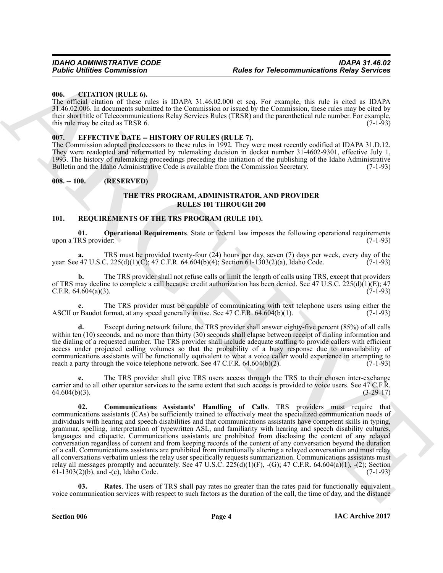#### <span id="page-3-0"></span>**006. CITATION (RULE 6).**

The official citation of these rules is IDAPA 31.46.02.000 et seq. For example, this rule is cited as IDAPA 31.46.02.006. In documents submitted to the Commission or issued by the Commission, these rules may be cited by their short title of Telecommunications Relay Services Rules (TRSR) and the parenthetical rule number. For example, this rule may be cited as TRSR 6. (7-1-93)

#### <span id="page-3-1"></span>**007. EFFECTIVE DATE -- HISTORY OF RULES (RULE 7).**

The Commission adopted predecessors to these rules in 1992. They were most recently codified at IDAPA 31.D.12. They were readopted and reformatted by rulemaking decision in docket number 31-4602-9301, effective July 1, 1993. The history of rulemaking proceedings preceding the initiation of the publishing of the Idaho Administrative Bulletin and the Idaho Administrative Code is available from the Commission Secretary. (7-1-93)

#### <span id="page-3-2"></span>**008. -- 100. (RESERVED)**

#### <span id="page-3-6"></span>**THE TRS PROGRAM, ADMINISTRATOR, AND PROVIDER RULES 101 THROUGH 200**

#### <span id="page-3-4"></span><span id="page-3-3"></span>**101. REQUIREMENTS OF THE TRS PROGRAM (RULE 101).**

**01. Operational Requirements**. State or federal law imposes the following operational requirements upon a TRS provider: (7-1-93)

**a.** TRS must be provided twenty-four  $(24)$  hours per day, seven  $(7)$  days per week, every day of the  $(47 \text{ U.S.C. } 225(d)(1)(C)$ ;  $47 \text{ C.F.R. } 64.604(b)(4)$ ; Section  $61-1303(2)(a)$ , Idaho Code.  $(7-1-93)$ year. See 47 U.S.C. 225(d)(1)(C); 47 C.F.R. 64.604(b)(4); Section 61-1303(2)(a), Idaho Code.

**b.** The TRS provider shall not refuse calls or limit the length of calls using TRS, except that providers of TRS may decline to complete a call because credit authorization has been denied. See 47 U.S.C. 225(d)(1)(E); 47 C.F.R. 64.604(a)(3). C.F.R.  $64.604(a)(3)$ .

**c.** The TRS provider must be capable of communicating with text telephone users using either the ASCII or Baudot format, at any speed generally in use. See 47 C.F.R. 64.604(b)(1). (7-1-93)

**d.** Except during network failure, the TRS provider shall answer eighty-five percent (85%) of all calls within ten (10) seconds, and no more than thirty (30) seconds shall elapse between receipt of dialing information and the dialing of a requested number. The TRS provider shall include adequate staffing to provide callers with efficient access under projected calling volumes so that the probability of a busy response due to unavailability of communications assistants will be functionally equivalent to what a voice caller would experience in attempting to reach a party through the voice telephone network. See 47 C.F.R. 64.604(b)(2).  $(7-1-93)$ reach a party through the voice telephone network. See 47 C.F.R.  $64.604(b)(2)$ .

<span id="page-3-5"></span>**e.** The TRS provider shall give TRS users access through the TRS to their chosen inter-exchange carrier and to all other operator services to the same extent that such access is provided to voice users. See 47 C.F.R. 64.604(b)(3). (3-29-17)  $64.604(b)(3)$ .

**Foother Communication**<br> **Foother Communications Religy Services**<br> **EVALUATION INTEREST ACTION ASSESS CONTINUES IN A CONTINUES IN THE INTERFERENCE IN A CONTINUES IN A CONTINUES IN A CONTINUES IN A CONTINUES IN A CONTINUES 02. Communications Assistants' Handling of Calls**. TRS providers must require that communications assistants (CAs) be sufficiently trained to effectively meet the specialized communication needs of individuals with hearing and speech disabilities and that communications assistants have competent skills in typing, grammar, spelling, interpretation of typewritten ASL, and familiarity with hearing and speech disability cultures, languages and etiquette. Communications assistants are prohibited from disclosing the content of any relayed conversation regardless of content and from keeping records of the content of any conversation beyond the duration of a call. Communications assistants are prohibited from intentionally altering a relayed conversation and must relay all conversations verbatim unless the relay user specifically requests summarization. Communications assistants must relay all messages promptly and accurately. See 47 U.S.C.  $225(d)(1)(F)$ ,  $-(G)$ ; 47 C.F.R. 64.604(a)(1),  $-(2)$ ; Section 61-1303(2)(b), and  $-(c)$ , Idaho Code. (7-1-93) 61-1303(2)(b), and  $-(c)$ , Idaho Code.

<span id="page-3-7"></span>**03. Rates**. The users of TRS shall pay rates no greater than the rates paid for functionally equivalent voice communication services with respect to such factors as the duration of the call, the time of day, and the distance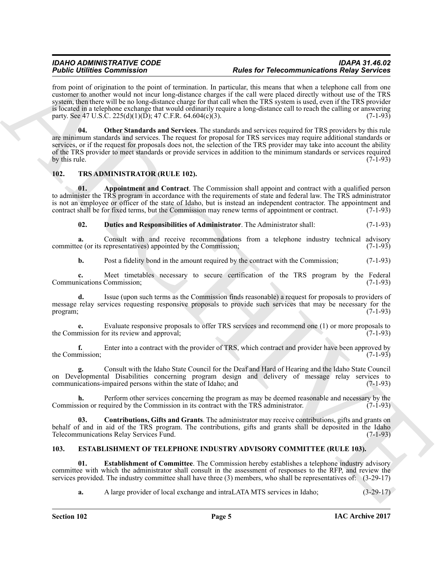#### *IDAHO ADMINISTRATIVE CODE IDAPA 31.46.02 Public Utilities Commission Rules for Telecommunications Relay Services*

<span id="page-4-4"></span>from point of origination to the point of termination. In particular, this means that when a telephone call from one customer to another would not incur long-distance charges if the call were placed directly without use of the TRS system, then there will be no long-distance charge for that call when the TRS system is used, even if the TRS provider is located in a telephone exchange that would ordinarily require a long-distance call to reach the calling or answering party. See 47 U.S.C. 225(d)(1)(D); 47 C.F.R. 64.604(c)(3). (7-1-93)

For Commission Commission Commission and the product of Merchant For Commission Relations For Commission Commission Commission Commission Commission Commission Commission Commission Commission Commission Commission Commis **04. Other Standards and Services**. The standards and services required for TRS providers by this rule are minimum standards and services. The request for proposal for TRS services may require additional standards or services, or if the request for proposals does not, the selection of the TRS provider may take into account the ability of the TRS provider to meet standards or provide services in addition to the minimum standards or services required<br>by this rule. (7-1-93) by this rule.  $(7-1-93)$ 

### <span id="page-4-5"></span><span id="page-4-0"></span>**102. TRS ADMINISTRATOR (RULE 102).**

**01. Appointment and Contract**. The Commission shall appoint and contract with a qualified person to administer the TRS program in accordance with the requirements of state and federal law. The TRS administrator is not an employee or officer of the state of Idaho, but is instead an independent contractor. The appointment and contract shall be for fixed terms, but the Commission may renew terms of appointment or contract.  $(7-1-93$ contract shall be for fixed terms, but the Commission may renew terms of appointment or contract.

<span id="page-4-8"></span><span id="page-4-6"></span>**02. Duties and Responsibilities of Administrator**. The Administrator shall: (7-1-93)

**a.** Consult with and receive recommendations from a telephone industry technical advisory ee (or its representatives) appointed by the Commission; (7-1-93) committee (or its representatives) appointed by the Commission;

**b.** Post a fidelity bond in the amount required by the contract with the Commission; (7-1-93)

**c.** Meet timetables necessary to secure certification of the TRS program by the Federal incations Commission; (7-1-93) Communications Commission;

**d.** Issue (upon such terms as the Commission finds reasonable) a request for proposals to providers of message relay services requesting responsive proposals to provide such services that may be necessary for the program; (7-1-93) program;  $(7-1-93)$ 

**e.** Evaluate responsive proposals to offer TRS services and recommend one (1) or more proposals to mission for its review and approval: (7-1-93) the Commission for its review and approval;

**f.** Enter into a contract with the provider of TRS, which contract and provider have been approved by mission; the Commission;

**g.** Consult with the Idaho State Council for the Deaf and Hard of Hearing and the Idaho State Council on Developmental Disabilities concerning program design and delivery of message relay services to communications-impaired persons within the state of Idaho: and (7-1-93) communications-impaired persons within the state of Idaho; and

**h.** Perform other services concerning the program as may be deemed reasonable and necessary by the sion or required by the Commission in its contract with the TRS administrator. (7-1-93) Commission or required by the Commission in its contract with the TRS administrator.

<span id="page-4-7"></span>**03. Contributions, Gifts and Grants**. The administrator may receive contributions, gifts and grants on behalf of and in aid of the TRS program. The contributions, gifts and grants shall be deposited in the Idaho Telecommunications Relay Services Fund. (7-1-93) Telecommunications Relay Services Fund.

### <span id="page-4-2"></span><span id="page-4-1"></span>**103. ESTABLISHMENT OF TELEPHONE INDUSTRY ADVISORY COMMITTEE (RULE 103).**

**01. Establishment of Committee**. The Commission hereby establishes a telephone industry advisory committee with which the administrator shall consult in the assessment of responses to the RFP, and review the services provided. The industry committee shall have three (3) members, who shall be representatives of: (3-29-17)

<span id="page-4-3"></span>**a.** A large provider of local exchange and intraLATA MTS services in Idaho;  $(3-29-17)$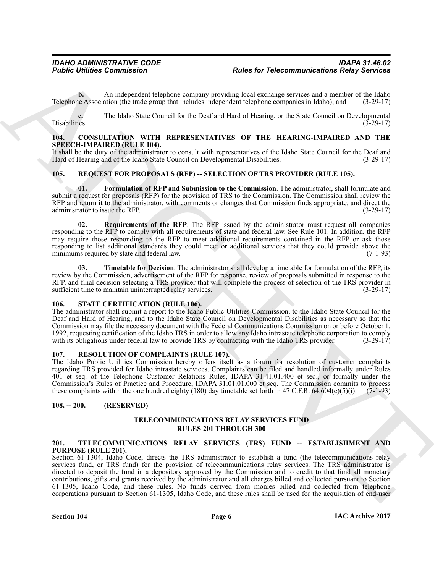**b.** An independent telephone company providing local exchange services and a member of the Idaho e Association (the trade group that includes independent telephone companies in Idaho); and (3-29-17) Telephone Association (the trade group that includes independent telephone companies in Idaho); and

**c.** The Idaho State Council for the Deaf and Hard of Hearing, or the State Council on Developmental Disabilities. (3-29-17) Disabilities. (3-29-17)

#### <span id="page-5-6"></span><span id="page-5-0"></span>**104. CONSULTATION WITH REPRESENTATIVES OF THE HEARING-IMPAIRED AND THE SPEECH-IMPAIRED (RULE 104).**

It shall be the duty of the administrator to consult with representatives of the Idaho State Council for the Deaf and Hard of Hearing and of the Idaho State Council on Developmental Disabilities. (3-29-17) Hard of Hearing and of the Idaho State Council on Developmental Disabilities.

### <span id="page-5-7"></span><span id="page-5-1"></span>**105. REQUEST FOR PROPOSALS (RFP) -- SELECTION OF TRS PROVIDER (RULE 105).**

<span id="page-5-8"></span>**01. Formulation of RFP and Submission to the Commission**. The administrator, shall formulate and submit a request for proposals (RFP) for the provision of TRS to the Commission. The Commission shall review the RFP and return it to the administrator, with comments or changes that Commission finds appropriate, and direct the administrator to issue the RFP. administrator to issue the RFP.

<span id="page-5-9"></span>**02. Requirements of the RFP**. The RFP issued by the administrator must request all companies responding to the RFP to comply with all requirements of state and federal law. See Rule 101. In addition, the RFP may require those responding to the RFP to meet additional requirements contained in the RFP or ask those responding to list additional standards they could meet or additional services that they could provide above the minimums required by state and federal law. (7-1-93)

<span id="page-5-10"></span>**03. Timetable for Decision**. The administrator shall develop a timetable for formulation of the RFP, its review by the Commission, advertisement of the RFP for response, review of proposals submitted in response to the RFP, and final decision selecting a TRS provider that will complete the process of selection of the TRS provider in sufficient time to maintain uninterrupted relay services. (3-29-17) sufficient time to maintain uninterrupted relay services.

#### <span id="page-5-12"></span><span id="page-5-2"></span>**106. STATE CERTIFICATION (RULE 106).**

The administrator shall submit a report to the Idaho Public Utilities Commission, to the Idaho State Council for the Deaf and Hard of Hearing, and to the Idaho State Council on Developmental Disabilities as necessary so that the Commission may file the necessary document with the Federal Communications Commission on or before October 1, 1992, requesting certification of the Idaho TRS in order to allow any Idaho intrastate telephone corporation to comply with its obligations under federal law to provide TRS by contracting with the Idaho TRS provider. (3-29 with its obligations under federal law to provide TRS by contracting with the Idaho TRS provider.

#### <span id="page-5-11"></span><span id="page-5-3"></span>**107. RESOLUTION OF COMPLAINTS (RULE 107).**

The Idaho Public Utilities Commission hereby offers itself as a forum for resolution of customer complaints regarding TRS provided for Idaho intrastate services. Complaints can be filed and handled informally under Rules 401 et seq. of the Telephone Customer Relations Rules, IDAPA 31.41.01.400 et seq., or formally under the Commission's Rules of Practice and Procedure, IDAPA 31.01.01.000 et seq. The Commission commits to process these complaints within the one hundred eighty (180) day timetable set forth in 47 C.F.R. 64.604(c)(5)(i).  $(7-1-93)$ 

## <span id="page-5-4"></span>**108. -- 200. (RESERVED)**

#### **TELECOMMUNICATIONS RELAY SERVICES FUND RULES 201 THROUGH 300**

#### <span id="page-5-13"></span><span id="page-5-5"></span>**201. TELECOMMUNICATIONS RELAY SERVICES (TRS) FUND -- ESTABLISHMENT AND PURPOSE (RULE 201).**

For the transmission of the term is the computer of the computer and a multiplier of the time of the computer of the computer of the computer of the computer of the computer of the computer of the computer of the computer Section 61-1304, Idaho Code, directs the TRS administrator to establish a fund (the telecommunications relay services fund, or TRS fund) for the provision of telecommunications relay services. The TRS administrator is directed to deposit the fund in a depository approved by the Commission and to credit to that fund all monetary contributions, gifts and grants received by the administrator and all charges billed and collected pursuant to Section 61-1305, Idaho Code, and these rules. No funds derived from monies billed and collected from telephone corporations pursuant to Section 61-1305, Idaho Code, and these rules shall be used for the acquisition of end-user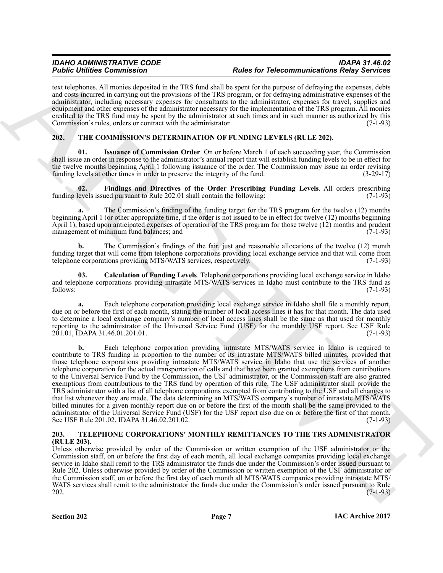text telephones. All monies deposited in the TRS fund shall be spent for the purpose of defraying the expenses, debts and costs incurred in carrying out the provisions of the TRS program, or for defraying administrative expenses of the administrator, including necessary expenses for consultants to the administrator, expenses for travel, supplies and equipment and other expenses of the administrator necessary for the implementation of the TRS program. All monies credited to the TRS fund may be spent by the administrator at such times and in such manner as authorized by this Commission's rules, orders or contract with the administrator. (7-1-93)

# <span id="page-6-3"></span><span id="page-6-0"></span>**202. THE COMMISSION'S DETERMINATION OF FUNDING LEVELS (RULE 202).**

<span id="page-6-6"></span>**01. Issuance of Commission Order**. On or before March 1 of each succeeding year, the Commission shall issue an order in response to the administrator's annual report that will establish funding levels to be in effect for the twelve months beginning April 1 following issuance of the order. The Commission may issue an order revising funding levels at other times in order to preserve the integrity of the fund. (3-29-17) funding levels at other times in order to preserve the integrity of the fund.

<span id="page-6-5"></span>**02.** Findings and Directives of the Order Prescribing Funding Levels. All orders prescribing evels issued pursuant to Rule 202.01 shall contain the following: (7-1-93) funding levels issued pursuant to Rule 202.01 shall contain the following:

**a.** The Commission's finding of the funding target for the TRS program for the twelve (12) months beginning April 1 (or other appropriate time, if the order is not issued to be in effect for twelve (12) months beginning April 1), based upon anticipated expenses of operation of the TRS program for those twelve  $(1\overline{2})$  months and prudent management of minimum fund balances; and  $(7-1-93)$ management of minimum fund balances; and

**b.** The Commission's findings of the fair, just and reasonable allocations of the twelve (12) month funding target that will come from telephone corporations providing local exchange service and that will come from telephone corporations providing MTS/WATS services, respectively. (7-1-93)

<span id="page-6-4"></span>**03. Calculation of Funding Levels**. Telephone corporations providing local exchange service in Idaho and telephone corporations providing intrastate MTS/WATS services in Idaho must contribute to the TRS fund as follows: (7-1-93) follows:  $(7-1-93)$ 

**a.** Each telephone corporation providing local exchange service in Idaho shall file a monthly report, due on or before the first of each month, stating the number of local access lines it has for that month. The data used to determine a local exchange company's number of local access lines shall be the same as that used for monthly reporting to the administrator of the Universal Service Fund (USF) for the monthly USF report. See USF Rule 201.01, IDAPA 31.46.01.201.01. 201.01, IDAPA 31.46.01.201.01.

For the interaction of the two-distincts of the continues of the continues of the second and the second and the second and the second and the second and the second and the second and the second and the second and the seco **b.** Each telephone corporation providing intrastate MTS/WATS service in Idaho is required to contribute to TRS funding in proportion to the number of its intrastate MTS/WATS billed minutes, provided that those telephone corporations providing intrastate MTS/WATS service in Idaho that use the services of another telephone corporation for the actual transportation of calls and that have been granted exemptions from contributions to the Universal Service Fund by the Commission, the USF administrator, or the Commission staff are also granted exemptions from contributions to the TRS fund by operation of this rule. The USF administrator shall provide the TRS administrator with a list of all telephone corporations exempted from contributing to the USF and all changes to that list whenever they are made. The data determining an MTS/WATS company's number of intrastate MTS/WATS billed minutes for a given monthly report due on or before the first of the month shall be the same provided to the administrator of the Universal Service Fund (USF) for the USF report also due on or before the first of that month.<br>See USF Rule 201.02. IDAPA 31.46.02.201.02. See USF Rule 201.02, IDAPA 31.46.02.201.02.

#### <span id="page-6-2"></span><span id="page-6-1"></span>**203. TELEPHONE CORPORATIONS' MONTHLY REMITTANCES TO THE TRS ADMINISTRATOR (RULE 203).**

Unless otherwise provided by order of the Commission or written exemption of the USF administrator or the Commission staff, on or before the first day of each month, all local exchange companies providing local exchange service in Idaho shall remit to the TRS administrator the funds due under the Commission's order issued pursuant to Rule 202. Unless otherwise provided by order of the Commission or written exemption of the USF administrator or the Commission staff, on or before the first day of each month all MTS/WATS companies providing intrastate MTS/ WATS services shall remit to the administrator the funds due under the Commission's order issued pursuant to Rule 202.  $202.$  (7-1-93)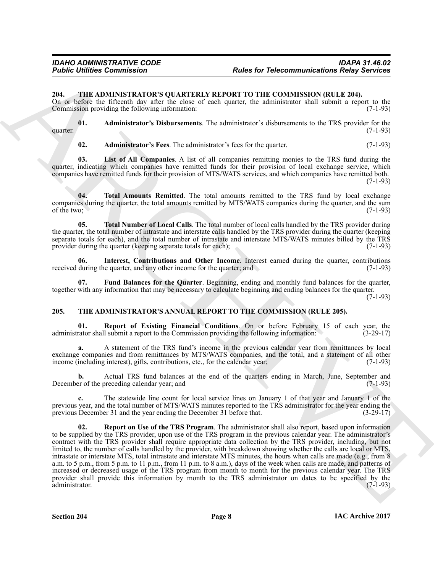#### <span id="page-7-5"></span><span id="page-7-0"></span>**204. THE ADMINISTRATOR'S QUARTERLY REPORT TO THE COMMISSION (RULE 204).**

On or before the fifteenth day after the close of each quarter, the administrator shall submit a report to the Commission providing the following information:  $(7-1-93)$ Commission providing the following information:

**01. Administrator's Disbursements**. The administrator's disbursements to the TRS provider for the (7-1-93) quarter.  $(7-1-93)$ 

<span id="page-7-11"></span><span id="page-7-10"></span><span id="page-7-7"></span><span id="page-7-6"></span>**02. Administrator's Fees**. The administrator's fees for the quarter. (7-1-93)

**03. List of All Companies**. A list of all companies remitting monies to the TRS fund during the quarter, indicating which companies have remitted funds for their provision of local exchange service, which companies have remitted funds for their provision of MTS/WATS services, and which companies have remitted both.  $(7-1-93)$ 

**04. Total Amounts Remitted**. The total amounts remitted to the TRS fund by local exchange companies during the quarter, the total amounts remitted by MTS/WATS companies during the quarter, and the sum of the two: (7-1-93) of the two;  $(7-1-93)$ 

<span id="page-7-12"></span>**05. Total Number of Local Calls**. The total number of local calls handled by the TRS provider during the quarter, the total number of intrastate and interstate calls handled by the TRS provider during the quarter (keeping separate totals for each), and the total number of intrastate and interstate MTS/WATS minutes billed by the TRS provider during the quarter (keeping separate totals for each); (7-1-93) provider during the quarter (keeping separate totals for each);

<span id="page-7-9"></span>**06.** Interest, Contributions and Other Income. Interest earned during the quarter, contributions during the quarter, and any other income for the quarter; and (7-1-93) received during the quarter, and any other income for the quarter; and

<span id="page-7-8"></span>**07. Fund Balances for the Quarter**. Beginning, ending and monthly fund balances for the quarter, together with any information that may be necessary to calculate beginning and ending balances for the quarter.

 $(7-1-93)$ 

#### <span id="page-7-2"></span><span id="page-7-1"></span>**205. THE ADMINISTRATOR'S ANNUAL REPORT TO THE COMMISSION (RULE 205).**

<span id="page-7-3"></span>**01. Report of Existing Financial Conditions**. On or before February 15 of each year, the rator shall submit a report to the Commission providing the following information: (3-29-17) administrator shall submit a report to the Commission providing the following information:

**a.** A statement of the TRS fund's income in the previous calendar year from remittances by local exchange companies and from remittances by MTS/WATS companies, and the total, and a statement of all other income (including interest), gifts, contributions, etc., for the calendar year; (7-1-93)

**b.** Actual TRS fund balances at the end of the quarters ending in March, June, September and December of the preceding calendar year; and (7-1-93)

<span id="page-7-4"></span>**c.** The statewide line count for local service lines on January 1 of that year and January 1 of the previous year, and the total number of MTS/WATS minutes reported to the TRS administrator for the year ending the previous December 31 and the year ending the December 31 before that. (3-29-17) previous December 31 and the year ending the December 31 before that.

For the Telecommutete Commission Track Control in the School Commission Religion School Commission Religion School Commission Religion School Commission (EU) and the Commission (EU) and the Commission Commission (EU) and **Report on Use of the TRS Program**. The administrator shall also report, based upon information to be supplied by the TRS provider, upon use of the TRS program in the previous calendar year. The administrator's contract with the TRS provider shall require appropriate data collection by the TRS provider, including, but not limited to, the number of calls handled by the provider, with breakdown showing whether the calls are local or MTS, intrastate or interstate MTS, total intrastate and interstate MTS minutes, the hours when calls are made (e.g., from 8 a.m. to 5 p.m., from 5 p.m. to 11 p.m., from 11 p.m. to 8 a.m.), days of the week when calls are made, and patterns of increased or decreased usage of the TRS program from month to month for the previous calendar year. The TRS provider shall provide this information by month to the TRS administrator on dates to be specified by the administrator. (7-1-93) administrator. (7-1-93)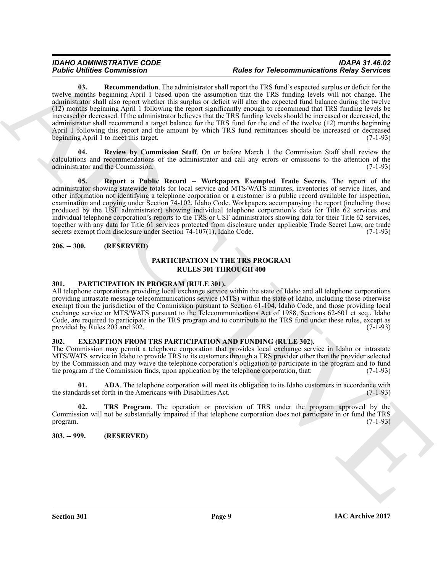#### *IDAHO ADMINISTRATIVE CODE IDAPA 31.46.02 Public Utilities Commission Rules for Telecommunications Relay Services*

<span id="page-8-8"></span>**03. Recommendation**. The administrator shall report the TRS fund's expected surplus or deficit for the twelve months beginning April 1 based upon the assumption that the TRS funding levels will not change. The administrator shall also report whether this surplus or deficit will alter the expected fund balance during the twelve (12) months beginning April 1 following the report significantly enough to recommend that TRS funding levels be increased or decreased. If the administrator believes that the TRS funding levels should be increased or decreased, the administrator shall recommend a target balance for the TRS fund for the end of the twelve (12) months beginning April 1 following this report and the amount by which TRS fund remittances should be increased or decreased beginning April 1 to meet this target. (7-1-93)

<span id="page-8-10"></span><span id="page-8-9"></span>**Review by Commission Staff**. On or before March 1 the Commission Staff shall review the calculations and recommendations of the administrator and call any errors or omissions to the attention of the administrator and the Commission.

**Form 10. Example 20. Conservation** and the state for Form of the Second Proposition Results and the state of the state of the state of the state of the state of the state of the state of the state of the state of the **05. Report a Public Record -- Workpapers Exempted Trade Secrets**. The report of the administrator showing statewide totals for local service and MTS/WATS minutes, inventories of service lines, and other information not identifying a telephone corporation or a customer is a public record available for inspection, examination and copying under Section 74-102, Idaho Code. Workpapers accompanying the report (including those produced by the USF administrator) showing individual telephone corporation's data for Title 62 services and individual telephone corporation's reports to the TRS or USF administrators showing data for their Title 62 services, together with any data for Title 61 services protected from disclosure under applicable Trade Secret Law, are trade secrets exempt from disclosure under Section 74-107(1), Idaho Code. (7-1-93)

#### <span id="page-8-0"></span>**206. -- 300. (RESERVED)**

# **PARTICIPATION IN THE TRS PROGRAM RULES 301 THROUGH 400**

### <span id="page-8-7"></span><span id="page-8-1"></span>**301. PARTICIPATION IN PROGRAM (RULE 301).**

All telephone corporations providing local exchange service within the state of Idaho and all telephone corporations providing intrastate message telecommunications service (MTS) within the state of Idaho, including those otherwise exempt from the jurisdiction of the Commission pursuant to Section 61-104, Idaho Code, and those providing local exchange service or MTS/WATS pursuant to the Telecommunications Act of 1988, Sections 62-601 et seq., Idaho Code, are required to participate in the TRS program and to contribute to the TRS fund under these rules, except as provided by Rules 203 and 302. provided by Rules  $20\overline{3}$  and  $302$ .

#### <span id="page-8-4"></span><span id="page-8-2"></span>**302. EXEMPTION FROM TRS PARTICIPATION AND FUNDING (RULE 302).**

The Commission may permit a telephone corporation that provides local exchange service in Idaho or intrastate MTS/WATS service in Idaho to provide TRS to its customers through a TRS provider other than the provider selected by the Commission and may waive the telephone corporation's obligation to participate in the program and to fund<br>the program if the Commission finds, upon application by the telephone corporation, that: (7-1-93) the program if the Commission finds, upon application by the telephone corporation, that:

<span id="page-8-5"></span>**01. ADA**. The telephone corporation will meet its obligation to its Idaho customers in accordance with ards set forth in the Americans with Disabilities Act. (7-1-93) the standards set forth in the Americans with Disabilities Act.

<span id="page-8-6"></span>**02. TRS Program**. The operation or provision of TRS under the program approved by the Commission will not be substantially impaired if that telephone corporation does not participate in or fund the TRS program.  $(7-1-93)$ 

### <span id="page-8-3"></span>**303. -- 999. (RESERVED)**